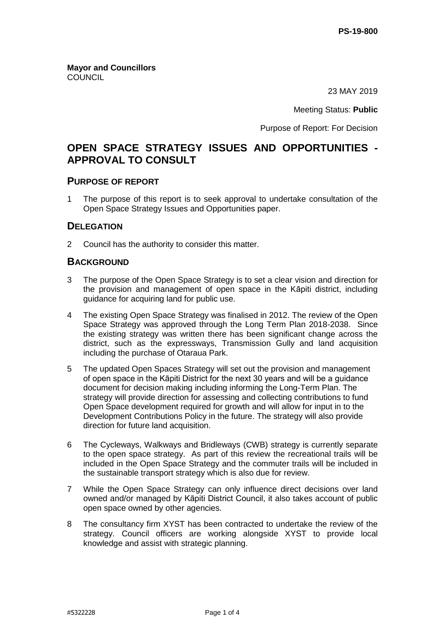**Mayor and Councillors COUNCIL** 

23 MAY 2019

Meeting Status: **Public**

Purpose of Report: For Decision

# **OPEN SPACE STRATEGY ISSUES AND OPPORTUNITIES - APPROVAL TO CONSULT**

#### **PURPOSE OF REPORT**

1 The purpose of this report is to seek approval to undertake consultation of the Open Space Strategy Issues and Opportunities paper.

# **DELEGATION**

2 Council has the authority to consider this matter.

#### **BACKGROUND**

- 3 The purpose of the Open Space Strategy is to set a clear vision and direction for the provision and management of open space in the Kāpiti district, including guidance for acquiring land for public use.
- 4 The existing Open Space Strategy was finalised in 2012. The review of the Open Space Strategy was approved through the Long Term Plan 2018-2038. Since the existing strategy was written there has been significant change across the district, such as the expressways, Transmission Gully and land acquisition including the purchase of Otaraua Park.
- 5 The updated Open Spaces Strategy will set out the provision and management of open space in the Kāpiti District for the next 30 years and will be a guidance document for decision making including informing the Long-Term Plan. The strategy will provide direction for assessing and collecting contributions to fund Open Space development required for growth and will allow for input in to the Development Contributions Policy in the future. The strategy will also provide direction for future land acquisition.
- 6 The Cycleways, Walkways and Bridleways (CWB) strategy is currently separate to the open space strategy. As part of this review the recreational trails will be included in the Open Space Strategy and the commuter trails will be included in the sustainable transport strategy which is also due for review.
- 7 While the Open Space Strategy can only influence direct decisions over land owned and/or managed by Kāpiti District Council, it also takes account of public open space owned by other agencies.
- 8 The consultancy firm XYST has been contracted to undertake the review of the strategy. Council officers are working alongside XYST to provide local knowledge and assist with strategic planning.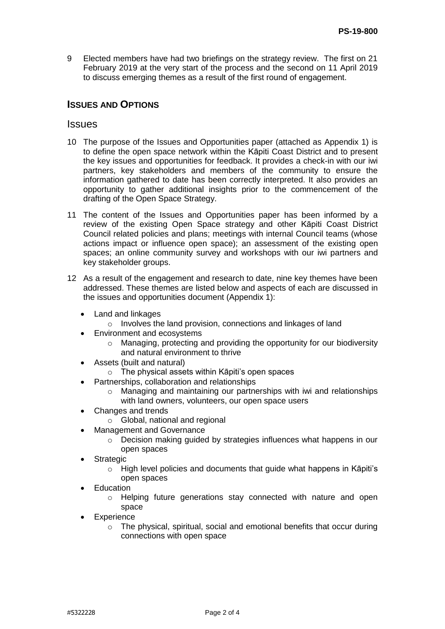9 Elected members have had two briefings on the strategy review. The first on 21 February 2019 at the very start of the process and the second on 11 April 2019 to discuss emerging themes as a result of the first round of engagement.

# **ISSUES AND OPTIONS**

#### Issues

- 10 The purpose of the Issues and Opportunities paper (attached as Appendix 1) is to define the open space network within the Kāpiti Coast District and to present the key issues and opportunities for feedback. It provides a check-in with our iwi partners, key stakeholders and members of the community to ensure the information gathered to date has been correctly interpreted. It also provides an opportunity to gather additional insights prior to the commencement of the drafting of the Open Space Strategy.
- 11 The content of the Issues and Opportunities paper has been informed by a review of the existing Open Space strategy and other Kāpiti Coast District Council related policies and plans; meetings with internal Council teams (whose actions impact or influence open space); an assessment of the existing open spaces; an online community survey and workshops with our iwi partners and key stakeholder groups.
- 12 As a result of the engagement and research to date, nine key themes have been addressed. These themes are listed below and aspects of each are discussed in the issues and opportunities document (Appendix 1):
	- Land and linkages
		- o Involves the land provision, connections and linkages of land
	- Environment and ecosystems
		- o Managing, protecting and providing the opportunity for our biodiversity and natural environment to thrive
	- Assets (built and natural)
		- o The physical assets within Kāpiti's open spaces
	- Partnerships, collaboration and relationships
		- o Managing and maintaining our partnerships with iwi and relationships with land owners, volunteers, our open space users
	- Changes and trends
		- o Global, national and regional
		- Management and Governance
			- $\circ$  Decision making quided by strategies influences what happens in our open spaces
	- Strategic
		- o High level policies and documents that guide what happens in Kāpiti's open spaces
	- **Education** 
		- o Helping future generations stay connected with nature and open space
	- **Experience** 
		- o The physical, spiritual, social and emotional benefits that occur during connections with open space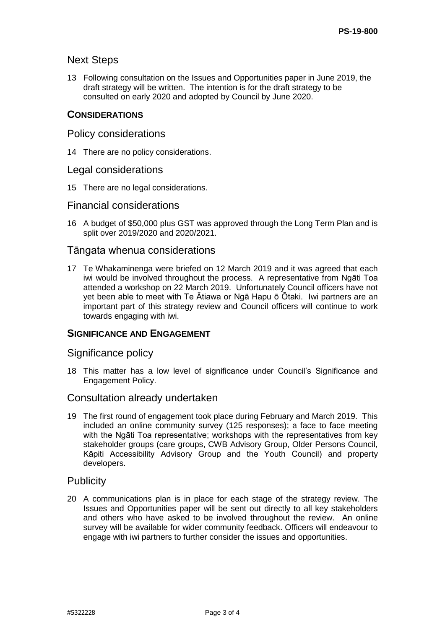# Next Steps

13 Following consultation on the Issues and Opportunities paper in June 2019, the draft strategy will be written. The intention is for the draft strategy to be consulted on early 2020 and adopted by Council by June 2020.

# **CONSIDERATIONS**

#### Policy considerations

14 There are no policy considerations.

#### Legal considerations

15 There are no legal considerations.

#### Financial considerations

16 A budget of \$50,000 plus GST was approved through the Long Term Plan and is split over 2019/2020 and 2020/2021.

# Tāngata whenua considerations

17 Te Whakaminenga were briefed on 12 March 2019 and it was agreed that each iwi would be involved throughout the process. A representative from Ngāti Toa attended a workshop on 22 March 2019. Unfortunately Council officers have not yet been able to meet with Te Ātiawa or Ngā Hapu ō Ōtaki. Iwi partners are an important part of this strategy review and Council officers will continue to work towards engaging with iwi.

# **SIGNIFICANCE AND ENGAGEMENT**

# Significance policy

18 This matter has a low level of significance under Council's Significance and Engagement Policy.

# Consultation already undertaken

19 The first round of engagement took place during February and March 2019. This included an online community survey (125 responses); a face to face meeting with the Ngāti Toa representative; workshops with the representatives from key stakeholder groups (care groups, CWB Advisory Group, Older Persons Council, Kāpiti Accessibility Advisory Group and the Youth Council) and property developers.

# **Publicity**

20 A communications plan is in place for each stage of the strategy review. The Issues and Opportunities paper will be sent out directly to all key stakeholders and others who have asked to be involved throughout the review. An online survey will be available for wider community feedback. Officers will endeavour to engage with iwi partners to further consider the issues and opportunities.